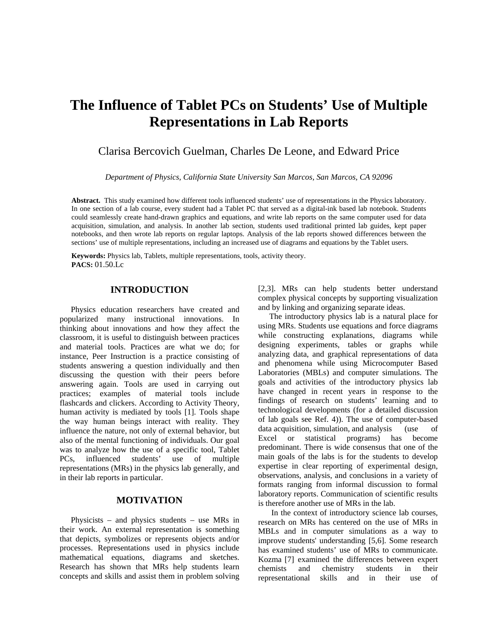# **The Influence of Tablet PCs on Students' Use of Multiple Representations in Lab Reports**

Clarisa Bercovich Guelman, Charles De Leone, and Edward Price

*Department of Physics, California State University San Marcos, San Marcos, CA 92096* 

**Abstract.** This study examined how different tools influenced students' use of representations in the Physics laboratory. In one section of a lab course, every student had a Tablet PC that served as a digital-ink based lab notebook. Students could seamlessly create hand-drawn graphics and equations, and write lab reports on the same computer used for data acquisition, simulation, and analysis. In another lab section, students used traditional printed lab guides, kept paper notebooks, and then wrote lab reports on regular laptops. Analysis of the lab reports showed differences between the sections' use of multiple representations, including an increased use of diagrams and equations by the Tablet users.

**Keywords:** Physics lab, Tablets, multiple representations, tools, activity theory. **PACS:** 01.50.Lc

## **INTRODUCTION**

Physics education researchers have created and popularized many instructional innovations. In thinking about innovations and how they affect the classroom, it is useful to distinguish between practices and material tools. Practices are what we do; for instance, Peer Instruction is a practice consisting of students answering a question individually and then discussing the question with their peers before answering again. Tools are used in carrying out practices; examples of material tools include flashcards and clickers. According to Activity Theory, human activity is mediated by tools [1]. Tools shape the way human beings interact with reality. They influence the nature, not only of external behavior, but also of the mental functioning of individuals. Our goal was to analyze how the use of a specific tool, Tablet PCs, influenced students' use of multiple representations (MRs) in the physics lab generally, and in their lab reports in particular.

### **MOTIVATION**

Physicists – and physics students – use MRs in their work. An external representation is something that depicts, symbolizes or represents objects and/or processes. Representations used in physics include mathematical equations, diagrams and sketches. Research has shown that MRs help students learn concepts and skills and assist them in problem solving [2,3]. MRs can help students better understand complex physical concepts by supporting visualization and by linking and organizing separate ideas.

The introductory physics lab is a natural place for using MRs. Students use equations and force diagrams while constructing explanations, diagrams while designing experiments, tables or graphs while analyzing data, and graphical representations of data and phenomena while using Microcomputer Based Laboratories (MBLs) and computer simulations. The goals and activities of the introductory physics lab have changed in recent years in response to the findings of research on students' learning and to technological developments (for a detailed discussion of lab goals see Ref. 4)). The use of computer-based data acquisition, simulation, and analysis (use of Excel or statistical programs) has become predominant. There is wide consensus that one of the main goals of the labs is for the students to develop expertise in clear reporting of experimental design, observations, analysis, and conclusions in a variety of formats ranging from informal discussion to formal laboratory reports. Communication of scientific results is therefore another use of MRs in the lab.

 In the context of introductory science lab courses, research on MRs has centered on the use of MRs in MBLs and in computer simulations as a way to improve students' understanding [5,6]. Some research has examined students' use of MRs to communicate. Kozma [7] examined the differences between expert chemists and chemistry students in their representational skills and in their use of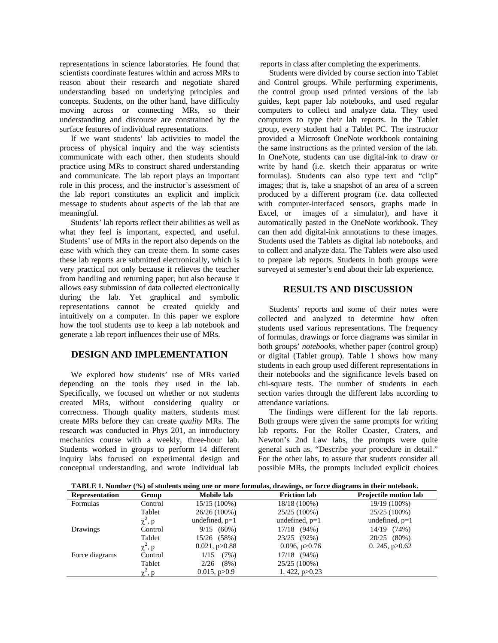representations in science laboratories. He found that scientists coordinate features within and across MRs to reason about their research and negotiate shared understanding based on underlying principles and concepts. Students, on the other hand, have difficulty moving across or connecting MRs, so their understanding and discourse are constrained by the surface features of individual representations.

If we want students' lab activities to model the process of physical inquiry and the way scientists communicate with each other, then students should practice using MRs to construct shared understanding and communicate. The lab report plays an important role in this process, and the instructor's assessment of the lab report constitutes an explicit and implicit message to students about aspects of the lab that are meaningful.

Students' lab reports reflect their abilities as well as what they feel is important, expected, and useful. Students' use of MRs in the report also depends on the ease with which they can create them. In some cases these lab reports are submitted electronically, which is very practical not only because it relieves the teacher from handling and returning paper, but also because it allows easy submission of data collected electronically during the lab. Yet graphical and symbolic representations cannot be created quickly and intuitively on a computer. In this paper we explore how the tool students use to keep a lab notebook and generate a lab report influences their use of MRs.

## **DESIGN AND IMPLEMENTATION**

We explored how students' use of MRs varied depending on the tools they used in the lab. Specifically, we focused on whether or not students created MRs, without considering quality or correctness. Though quality matters, students must create MRs before they can create *quality* MRs. The research was conducted in Phys 201, an introductory mechanics course with a weekly, three-hour lab. Students worked in groups to perform 14 different inquiry labs focused on experimental design and conceptual understanding, and wrote individual lab

reports in class after completing the experiments.

Students were divided by course section into Tablet and Control groups. While performing experiments, the control group used printed versions of the lab guides, kept paper lab notebooks, and used regular computers to collect and analyze data. They used computers to type their lab reports. In the Tablet group, every student had a Tablet PC. The instructor provided a Microsoft OneNote workbook containing the same instructions as the printed version of the lab. In OneNote, students can use digital-ink to draw or write by hand (i.e. sketch their apparatus or write formulas). Students can also type text and "clip" images; that is, take a snapshot of an area of a screen produced by a different program (*i.e*. data collected with computer-interfaced sensors, graphs made in Excel, or images of a simulator), and have it automatically pasted in the OneNote workbook. They can then add digital-ink annotations to these images. Students used the Tablets as digital lab notebooks, and to collect and analyze data. The Tablets were also used to prepare lab reports. Students in both groups were surveyed at semester's end about their lab experience.

### **RESULTS AND DISCUSSION**

Students' reports and some of their notes were collected and analyzed to determine how often students used various representations. The frequency of formulas, drawings or force diagrams was similar in both groups' *notebooks*, whether paper (control group) or digital (Tablet group). Table 1 shows how many students in each group used different representations in their notebooks and the significance levels based on chi-square tests. The number of students in each section varies through the different labs according to attendance variations.

The findings were different for the lab reports. Both groups were given the same prompts for writing lab reports. For the Roller Coaster, Craters, and Newton's 2nd Law labs, the prompts were quite general such as, "Describe your procedure in detail." For the other labs, to assure that students consider all possible MRs, the prompts included explicit choices

**TABLE 1. Number (%) of students using one or more formulas, drawings, or force diagrams in their notebook.** 

| <b>Representation</b> | Group        | Mobile lab          | -----<br><b>Friction lab</b> | -- , , ,<br><b>Projectile motion lab</b> |
|-----------------------|--------------|---------------------|------------------------------|------------------------------------------|
| Formulas              | Control      | $15/15(100\%)$      | 18/18 (100%)                 | 19/19 (100%)                             |
|                       | Tablet       | $26/26(100\%)$      | 25/25 (100%)                 | 25/25 (100%)                             |
|                       | $\chi^2$ , p | undefined, $p=1$    | undefined, $p=1$             | undefined, $p=1$                         |
| <b>Drawings</b>       | Control      | $(60\%)$<br>9/15    | 17/18 (94%)                  | 14/19 (74%)                              |
|                       | Tablet       | 15/26 (58%)         | 23/25 (92%)                  | $(80\%)$<br>20/25                        |
|                       | $\chi^2$ , p | $0.021$ , p $>0.88$ | 0.096, $p > 0.76$            | 0. 245, $p > 0.62$                       |
| Force diagrams        | Control      | (7%)<br>1/15        | 17/18 (94%)                  |                                          |
|                       | Tablet       | $(8\%)$<br>2/26     | 25/25 (100%)                 |                                          |
|                       | $\chi^2$ , p | $0.015$ , $p > 0.9$ | 1. 422, $p > 0.23$           |                                          |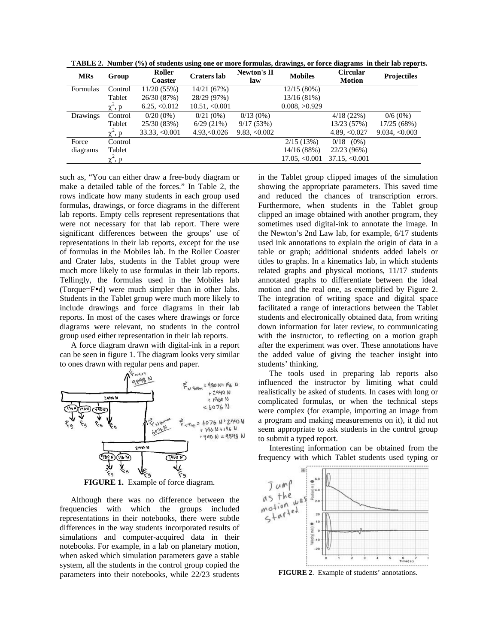| <b>MRs</b> | Group        | Roller<br>Coaster | Craters lab    | Newton's II<br>law | <b>Mobiles</b> | <b>Circular</b><br><b>Motion</b> | <b>Projectiles</b> |
|------------|--------------|-------------------|----------------|--------------------|----------------|----------------------------------|--------------------|
| Formulas   | Control      | 11/20(55%)        | 14/21 (67%)    |                    | 12/15(80%)     |                                  |                    |
|            | Tablet       | 26/30 (87%)       | 28/29 (97%)    |                    | 13/16 (81%)    |                                  |                    |
|            | $\chi^2$ , p | 6.25, <0.012      | 10.51, < 0.001 |                    | 0.008, >0.929  |                                  |                    |
| Drawings   | Control      | $0/20(0\%)$       | $0/21(0\%)$    | $0/13(0\%)$        |                | 4/18(22%)                        | $0/6(0\%)$         |
|            | Tablet       | 25/30 (83%)       | 6/29(21%)      | 9/17(53%)          |                | 13/23 (57%)                      | 17/25 (68%)        |
|            | $\chi^2$ , p | 33.33, < 0.001    | 4.93, < 0.026  | 9.83, < 0.002      |                | 4.89, < 0.027                    | 9.034, < 0.003     |
| Force      | Control      |                   |                |                    | 2/15(13%)      | $0/18$ (0%)                      |                    |
| diagrams   | Tablet       |                   |                |                    | 14/16 (88%)    | 22/23 (96%)                      |                    |
|            | $\chi$ , p   |                   |                |                    | 17.05, < 0.001 | 37.15, < 0.001                   |                    |

**TABLE 2. Number (%) of students using one or more formulas, drawings, or force diagrams in their lab reports.** 

such as, "You can either draw a free-body diagram or make a detailed table of the forces." In Table 2, the rows indicate how many students in each group used formulas, drawings, or force diagrams in the different lab reports. Empty cells represent representations that were not necessary for that lab report. There were significant differences between the groups' use of representations in their lab reports, except for the use of formulas in the Mobiles lab. In the Roller Coaster and Crater labs, students in the Tablet group were much more likely to use formulas in their lab reports. Tellingly, the formulas used in the Mobiles lab (Torque= $F \cdot d$ ) were much simpler than in other labs. Students in the Tablet group were much more likely to include drawings and force diagrams in their lab reports. In most of the cases where drawings or force diagrams were relevant, no students in the control group used either representation in their lab reports.

A force diagram drawn with digital-ink in a report can be seen in figure 1. The diagram looks very similar



Although there was no difference between the frequencies with which the groups included representations in their notebooks, there were subtle differences in the way students incorporated results of simulations and computer-acquired data in their notebooks. For example, in a lab on planetary motion, when asked which simulation parameters gave a stable system, all the students in the control group copied the parameters into their notebooks, while 22/23 students in the Tablet group clipped images of the simulation showing the appropriate parameters. This saved time and reduced the chances of transcription errors. Furthermore, when students in the Tablet group clipped an image obtained with another program, they sometimes used digital-ink to annotate the image. In the Newton's 2nd Law lab, for example, 6/17 students used ink annotations to explain the origin of data in a table or graph; additional students added labels or titles to graphs. In a kinematics lab, in which students related graphs and physical motions, 11/17 students annotated graphs to differentiate between the ideal motion and the real one, as exemplified by Figure 2. The integration of writing space and digital space facilitated a range of interactions between the Tablet students and electronically obtained data, from writing down information for later review, to communicating with the instructor, to reflecting on a motion graph after the experiment was over. These annotations have the added value of giving the teacher insight into students' thinking.

The tools used in preparing lab reports also influenced the instructor by limiting what could realistically be asked of students. In cases with long or complicated formulas, or when the technical steps were complex (for example, importing an image from a program and making measurements on it), it did not seem appropriate to ask students in the control group to submit a typed report.

Interesting information can be obtained from the frequency with which Tablet students used typing or



**FIGURE 2**. Example of students' annotations.